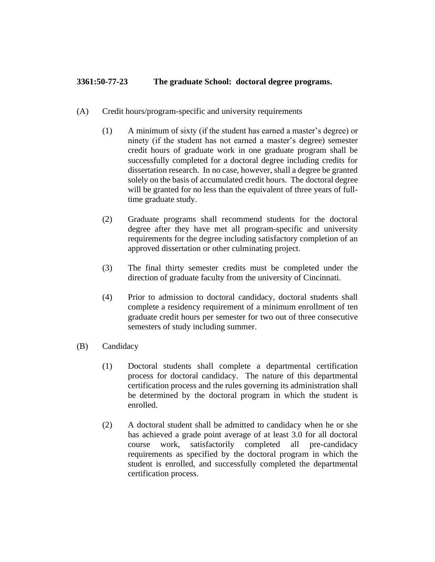## **3361:50-77-23 The graduate School: doctoral degree programs.**

- (A) Credit hours/program-specific and university requirements
	- (1) A minimum of sixty (if the student has earned a master's degree) or ninety (if the student has not earned a master's degree) semester credit hours of graduate work in one graduate program shall be successfully completed for a doctoral degree including credits for dissertation research. In no case, however, shall a degree be granted solely on the basis of accumulated credit hours. The doctoral degree will be granted for no less than the equivalent of three years of fulltime graduate study.
	- (2) Graduate programs shall recommend students for the doctoral degree after they have met all program-specific and university requirements for the degree including satisfactory completion of an approved dissertation or other culminating project.
	- (3) The final thirty semester credits must be completed under the direction of graduate faculty from the university of Cincinnati.
	- (4) Prior to admission to doctoral candidacy, doctoral students shall complete a residency requirement of a minimum enrollment of ten graduate credit hours per semester for two out of three consecutive semesters of study including summer.
- (B) Candidacy
	- (1) Doctoral students shall complete a departmental certification process for doctoral candidacy. The nature of this departmental certification process and the rules governing its administration shall be determined by the doctoral program in which the student is enrolled.
	- (2) A doctoral student shall be admitted to candidacy when he or she has achieved a grade point average of at least 3.0 for all doctoral course work, satisfactorily completed all pre-candidacy requirements as specified by the doctoral program in which the student is enrolled, and successfully completed the departmental certification process.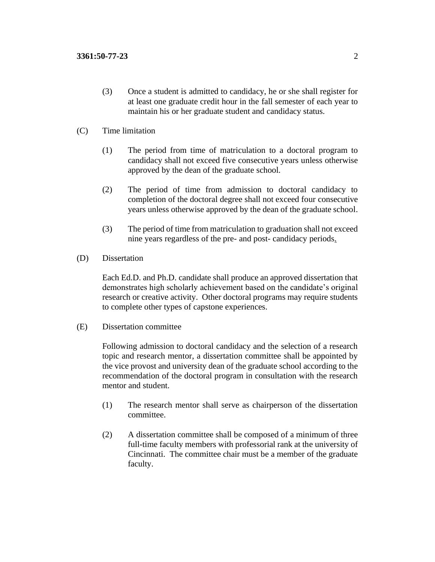(3) Once a student is admitted to candidacy, he or she shall register for at least one graduate credit hour in the fall semester of each year to maintain his or her graduate student and candidacy status.

## (C) Time limitation

- (1) The period from time of matriculation to a doctoral program to candidacy shall not exceed five consecutive years unless otherwise approved by the dean of the graduate school.
- (2) The period of time from admission to doctoral candidacy to completion of the doctoral degree shall not exceed four consecutive years unless otherwise approved by the dean of the graduate school.
- (3) The period of time from matriculation to graduation shall not exceed nine years regardless of the pre- and post- candidacy periods.
- (D) Dissertation

Each Ed.D. and Ph.D. candidate shall produce an approved dissertation that demonstrates high scholarly achievement based on the candidate's original research or creative activity. Other doctoral programs may require students to complete other types of capstone experiences.

(E) Dissertation committee

Following admission to doctoral candidacy and the selection of a research topic and research mentor, a dissertation committee shall be appointed by the vice provost and university dean of the graduate school according to the recommendation of the doctoral program in consultation with the research mentor and student.

- (1) The research mentor shall serve as chairperson of the dissertation committee.
- (2) A dissertation committee shall be composed of a minimum of three full-time faculty members with professorial rank at the university of Cincinnati. The committee chair must be a member of the graduate faculty.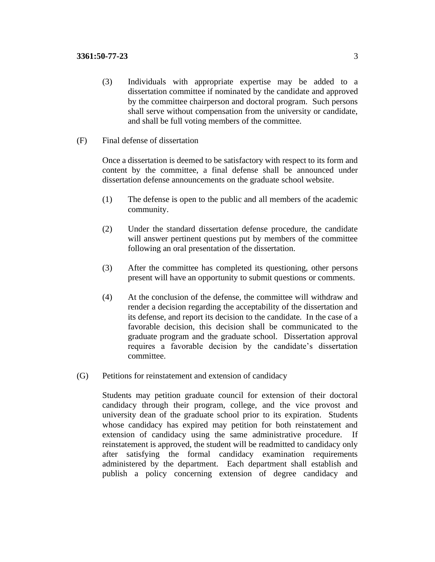- (3) Individuals with appropriate expertise may be added to a dissertation committee if nominated by the candidate and approved by the committee chairperson and doctoral program. Such persons shall serve without compensation from the university or candidate, and shall be full voting members of the committee.
- (F) Final defense of dissertation

Once a dissertation is deemed to be satisfactory with respect to its form and content by the committee, a final defense shall be announced under dissertation defense announcements on the graduate school website.

- (1) The defense is open to the public and all members of the academic community.
- (2) Under the standard dissertation defense procedure, the candidate will answer pertinent questions put by members of the committee following an oral presentation of the dissertation.
- (3) After the committee has completed its questioning, other persons present will have an opportunity to submit questions or comments.
- (4) At the conclusion of the defense, the committee will withdraw and render a decision regarding the acceptability of the dissertation and its defense, and report its decision to the candidate. In the case of a favorable decision, this decision shall be communicated to the graduate program and the graduate school. Dissertation approval requires a favorable decision by the candidate's dissertation committee.
- (G) Petitions for reinstatement and extension of candidacy

Students may petition graduate council for extension of their doctoral candidacy through their program, college, and the vice provost and university dean of the graduate school prior to its expiration. Students whose candidacy has expired may petition for both reinstatement and extension of candidacy using the same administrative procedure. If reinstatement is approved, the student will be readmitted to candidacy only after satisfying the formal candidacy examination requirements administered by the department. Each department shall establish and publish a policy concerning extension of degree candidacy and